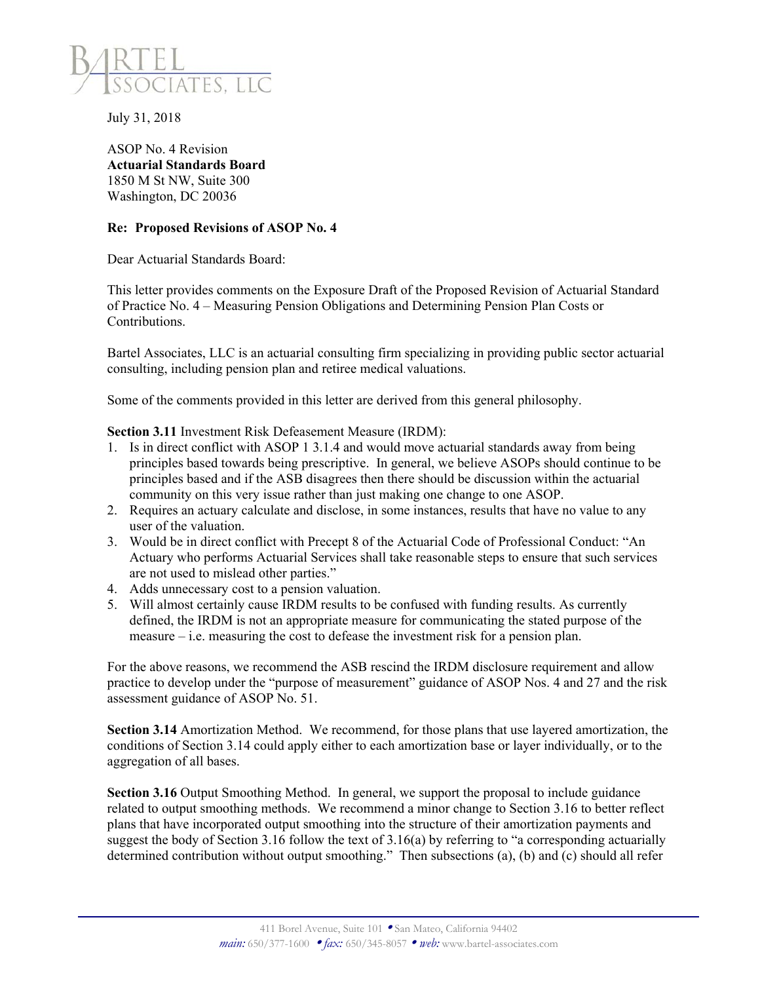

July 31, 2018

ASOP No. 4 Revision **Actuarial Standards Board**  1850 M St NW, Suite 300 Washington, DC 20036

## **Re: Proposed Revisions of ASOP No. 4**

Dear Actuarial Standards Board:

This letter provides comments on the Exposure Draft of the Proposed Revision of Actuarial Standard of Practice No. 4 – Measuring Pension Obligations and Determining Pension Plan Costs or Contributions.

Bartel Associates, LLC is an actuarial consulting firm specializing in providing public sector actuarial consulting, including pension plan and retiree medical valuations.

Some of the comments provided in this letter are derived from this general philosophy.

**Section 3.11** Investment Risk Defeasement Measure (IRDM):

- 1. Is in direct conflict with ASOP 1 3.1.4 and would move actuarial standards away from being principles based towards being prescriptive. In general, we believe ASOPs should continue to be principles based and if the ASB disagrees then there should be discussion within the actuarial community on this very issue rather than just making one change to one ASOP.
- 2. Requires an actuary calculate and disclose, in some instances, results that have no value to any user of the valuation.
- 3. Would be in direct conflict with Precept 8 of the Actuarial Code of Professional Conduct: "An Actuary who performs Actuarial Services shall take reasonable steps to ensure that such services are not used to mislead other parties."
- 4. Adds unnecessary cost to a pension valuation.
- 5. Will almost certainly cause IRDM results to be confused with funding results. As currently defined, the IRDM is not an appropriate measure for communicating the stated purpose of the measure – i.e. measuring the cost to defease the investment risk for a pension plan.

For the above reasons, we recommend the ASB rescind the IRDM disclosure requirement and allow practice to develop under the "purpose of measurement" guidance of ASOP Nos. 4 and 27 and the risk assessment guidance of ASOP No. 51.

**Section 3.14** Amortization Method. We recommend, for those plans that use layered amortization, the conditions of Section 3.14 could apply either to each amortization base or layer individually, or to the aggregation of all bases.

**Section 3.16** Output Smoothing Method. In general, we support the proposal to include guidance related to output smoothing methods. We recommend a minor change to Section 3.16 to better reflect plans that have incorporated output smoothing into the structure of their amortization payments and suggest the body of Section 3.16 follow the text of 3.16(a) by referring to "a corresponding actuarially determined contribution without output smoothing." Then subsections (a), (b) and (c) should all refer